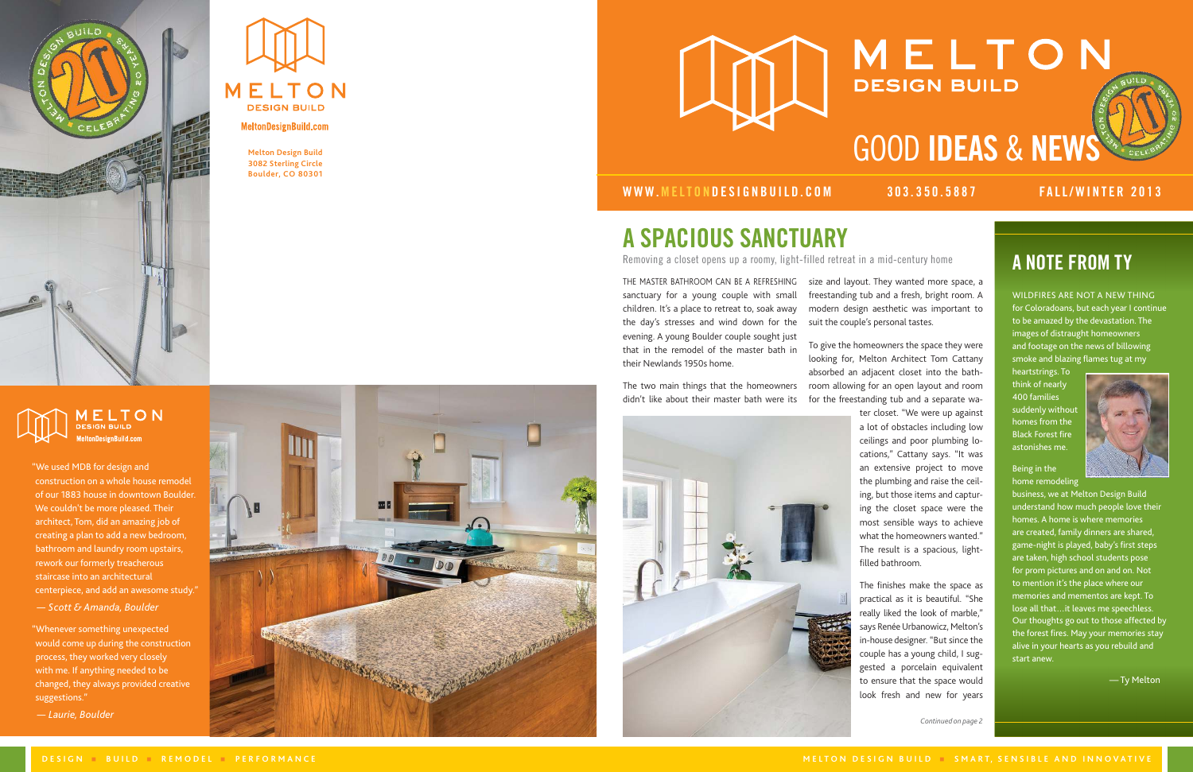



**MeltonDesignBuild.com** 

**Melton Design Build 3082 Sterling Circle Boulder, CO 80301**



# MELTON **DESIGN BUILD** GOOD IDEAS & NEWS

THE MASTER BATHROOM CAN BE A REFRESHING sanctuary for a young couple with small children. It's a place to retreat to, soak away the day's stresses and wind down for the evening. A young Boulder couple sought just that in the remodel of the master bath in their Newlands 1950s home.

The two main things that the homeowners didn't like about their master bath were its



## A SPACIOUS SANCTUARY

Removing a closet opens up a roomy, light-filled retreat in a mid-century home **A NOTE FROM TY** 

WILDFIRES ARE NOT A NEW THING for Coloradoans, but each year I continue to be amazed by the devastation. The images of distraught homeowners and footage on the news of billowing smoke and blazing flames tug at my

heartstrings. To think of nearly 400 families suddenly without homes from the Black Forest fire astonishes me.



### Being in the home remodeling

business, we at Melton Design Build understand how much people love their homes. A home is where memories are created, family dinners are shared, game-night is played, baby's first steps are taken, high school students pose for prom pictures and on and on. Not to mention it's the place where our memories and mementos are kept. To lose all that…it leaves me speechless. Our thoughts go out to those affected by the forest fires. May your memories stay alive in your hearts as you rebuild and start anew.

— Ty Melton

"We used MDB for design and construction on a whole house remodel of our 1883 house in downtown Boulder. We couldn't be more pleased. Their architect, Tom, did an amazing job of creating a plan to add a new bedroom, bathroom and laundry room upstairs, rework our formerly treacherous staircase into an architectural centerpiece, and add an awesome study."

*— Scott & Amanda, Boulder*

"Whenever something unexpected would come up during the construction process, they worked very closely with me. If anything needed to be changed, they always provided creative suggestions."

 *— Laurie, Boulder*



## WWW.MELTONDESIGNBUILD.COM 303.350.5887 FALL/WINTER 2013

size and layout. They wanted more space, a freestanding tub and a fresh, bright room. A modern design aesthetic was important to suit the couple's personal tastes.

To give the homeowners the space they were looking for, Melton Architect Tom Cattany absorbed an adjacent closet into the bath room allowing for an open layout and room for the freestanding tub and a separate wa ter closet. "We were up against a lot of obstacles including low ceilings and poor plumbing lo cations," Cattany says. "It was an extensive project to move the plumbing and raise the ceil ing, but those items and captur ing the closet space were the most sensible ways to achieve what the homeowners wanted." The result is a spacious, lightfilled bathroom.

> The finishes make the space as practical as it is beautiful. "She really liked the look of marble," says Renée Urbanowicz, Melton's in-house designer. "But since the couple has a young child, I sug gested a porcelain equivalent to ensure that the space would look fresh and new for years

*Continued on page 2*